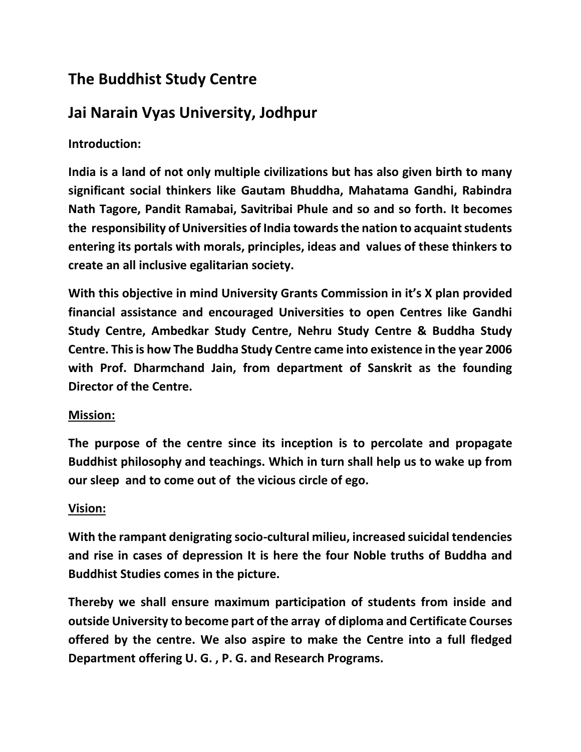# **The Buddhist Study Centre**

# **Jai Narain Vyas University, Jodhpur**

## **Introduction:**

**India is a land of not only multiple civilizations but has also given birth to many significant social thinkers like Gautam Bhuddha, Mahatama Gandhi, Rabindra Nath Tagore, Pandit Ramabai, Savitribai Phule and so and so forth. It becomes the responsibility of Universities of India towards the nation to acquaint students entering its portals with morals, principles, ideas and values of these thinkers to create an all inclusive egalitarian society.** 

**With this objective in mind University Grants Commission in it's X plan provided financial assistance and encouraged Universities to open Centres like Gandhi Study Centre, Ambedkar Study Centre, Nehru Study Centre & Buddha Study Centre. This is how The Buddha Study Centre came into existence in the year 2006 with Prof. Dharmchand Jain, from department of Sanskrit as the founding Director of the Centre.**

#### **Mission:**

**The purpose of the centre since its inception is to percolate and propagate Buddhist philosophy and teachings. Which in turn shall help us to wake up from our sleep and to come out of the vicious circle of ego.**

### **Vision:**

**With the rampant denigrating socio-cultural milieu, increased suicidal tendencies and rise in cases of depression It is here the four Noble truths of Buddha and Buddhist Studies comes in the picture.**

**Thereby we shall ensure maximum participation of students from inside and outside University to become part of the array of diploma and Certificate Courses offered by the centre. We also aspire to make the Centre into a full fledged Department offering U. G. , P. G. and Research Programs.**